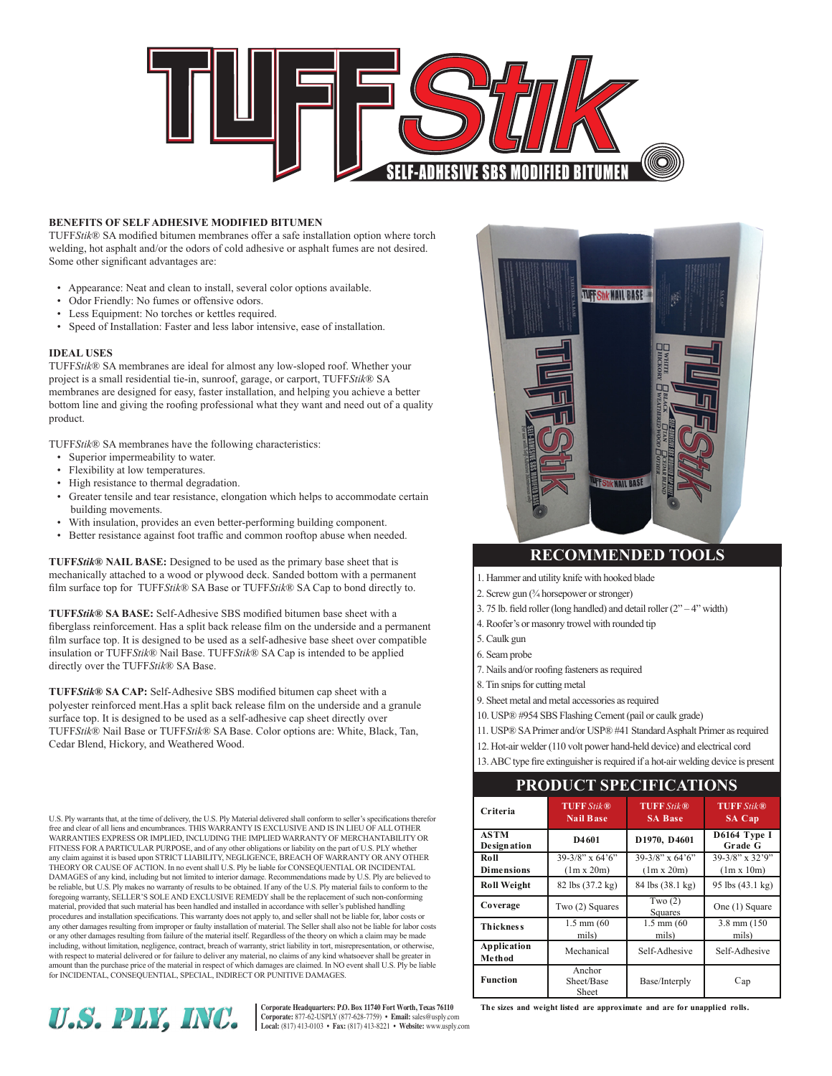

# **Benefits of Self Adhesive Modified Bitumen**

TUFF*Stik*® SA modified bitumen membranes offer a safe installation option where torch welding, hot asphalt and/or the odors of cold adhesive or asphalt fumes are not desired. Some other significant advantages are:

- Appearance: Neat and clean to install, several color options available.
- Odor Friendly: No fumes or offensive odors.
- Less Equipment: No torches or kettles required.
- Speed of Installation: Faster and less labor intensive, ease of installation.

# **Ideal Uses**

TUFF*Stik*® SA membranes are ideal for almost any low-sloped roof. Whether your project is a small residential tie-in, sunroof, garage, or carport, TUFF*Stik*® SA membranes are designed for easy, faster installation, and helping you achieve a better bottom line and giving the roofing professional what they want and need out of a quality product.

TUFF*Stik*® SA membranes have the following characteristics:

- Superior impermeability to water.
- Flexibility at low temperatures.
- High resistance to thermal degradation.
- Greater tensile and tear resistance, elongation which helps to accommodate certain building movements.
- With insulation, provides an even better-performing building component.
- Better resistance against foot traffic and common rooftop abuse when needed.

**TUFF***Stik***® NAIL BASE:** Designed to be used as the primary base sheet that is mechanically attached to a wood or plywood deck. Sanded bottom with a permanent film surface top for TUFF*Stik*® SA Base or TUFF*Stik*® SA Cap to bond directly to.

**TUFF***Stik***® SA BASE:** Self-Adhesive SBS modified bitumen base sheet with a fiberglass reinforcement. Has a split back release film on the underside and a permanent film surface top. It is designed to be used as a self-adhesive base sheet over compatible insulation or TUFF*Stik*® Nail Base. TUFF*Stik*® SA Cap is intended to be applied directly over the TUFF*Stik*® SA Base.

**TUFF***Stik***® SA CAP:** Self-Adhesive SBS modified bitumen cap sheet with a polyester reinforced ment.Has a split back release film on the underside and a granule surface top. It is designed to be used as a self-adhesive cap sheet directly over TUFF*Stik*® Nail Base or TUFF*Stik*® SA Base. Color options are: White, Black, Tan, Cedar Blend, Hickory, and Weathered Wood.

U.S. Ply warrants that, at the time of delivery, the U.S. Ply Material delivered shall conform to seller's specifications therefor free and clear of all liens and encumbrances. THIS WARRANTY IS EXCLUSIVE AND IS IN LIEU OF ALL OTHER WARRANTIES EXPRESS OR IMPLIED, INCLUDING THE IMPLIED WARRANTY OF MERCHANTABILITY OR FITNESS FOR A PARTICULAR PURPOSE, and of any other obligations or liability on the part of U.S. PLY whether any claim against it is based upon STRICT LIABILITY, NEGLIGENCE, BREACH OF WARRANTY OR ANY OTHER THEORY OR CAUSE OF ACTION. In no event shall U.S. Ply be liable for CONSEQUENTIAL OR INCIDENTAL DAMAGES of any kind, including but not limited to interior damage. Recommendations made by U.S. Ply are believed to<br>be reliable, but U.S. Ply makes no warranty of results to be obtained. If any of the U.S. Ply material fai foregoing warranty, SELLER'S SOLE AND EXCLUSIVE REMEDY shall be the replacement of such non-conforming material, provided that such material has been handled and installed in accordance with seller's published handling procedures and installation specifications. This warranty does not apply to, and seller shall not be liable for, labor costs or any other damages resulting from improper or faulty installation of material. The Seller shall also not be liable for labor costs or any other damages resulting from failure of the material itself. Regardless of the theory on which a claim may be made including, without limitation, negligence, contract, breach of warranty, strict liability in tort, misrepresentation, or otherwise, with respect to material delivered or for failure to deliver any material, no claims of any kind whatsoever shall be greater in<br>amount than the purchase price of the material in respect of which damages are claimed. In NO for INCIDENTAL, CONSEQUENTIAL, SPECIAL, INDIRECT OR PUNITIVE DAMAGES.



Corporate Headquarters: P.O. Box 11740 Fort Worth, Texas 76110<br>Corporate: 877-62-USPLY (877-628-7759) • Email: sales@usply.com<br>Local: (817) 413-0103 • Fax: (817) 413-8221 • Website: www.usply.com



# **Recommended Tools**

1. Hammer and utility knife with hooked blade

- 2. Screw gun (¾ horsepower or stronger)
- 3. 75 lb. field roller (long handled) and detail roller (2" 4" width)
- 4. Roofer's or masonry trowel with rounded tip
- 5. Caulk gun
- 6. Seam probe
- 7. Nails and/or roofing fasteners as required
- 8. Tin snips for cutting metal
- 9. Sheet metal and metal accessories as required
- 10. USP® #954 SBS Flashing Cement (pail or caulk grade)
- 11. USP® SA Primer and/or USP® #41 Standard Asphalt Primer as required
- 12. Hot-air welder (110 volt power hand-held device) and electrical cord
- 13. ABC type fire extinguisher is required if a hot-air welding device is present

**Product Specifications**

| 101111111110110                   |                                         |                                         |                                            |
|-----------------------------------|-----------------------------------------|-----------------------------------------|--------------------------------------------|
| Criteria                          | <b>TUFF Stik®</b><br><b>Nail Base</b>   | <b>TUFF Stik®</b><br><b>SA Base</b>     | <b>TUFF Stik®</b><br><b>SA Cap</b>         |
| <b>ASTM</b><br><b>Designation</b> | D4601                                   | D1970, D4601                            | D6164 Type I<br>Grade G                    |
| Roll<br><b>Dimensions</b>         | $39-3/8$ " x 64'6"<br>$(1m \times 20m)$ | $39-3/8$ " x 64'6"<br>$(1m \times 20m)$ | $39-3/8$ " x $32'9$ "<br>$(1m \times 10m)$ |
| <b>Roll Weight</b>                | 82 lbs (37.2 kg)                        | 84 lbs (38.1 kg)                        | 95 lbs (43.1 kg)                           |
| Coverage                          | Two (2) Squares                         | Two $(2)$<br>Squares                    | One (1) Square                             |
| <b>Thickness</b>                  | $1.5$ mm $(60)$<br>mils)                | $1.5$ mm $(60)$<br>mils)                | 3.8 mm (150)<br>mils)                      |
| <b>Application</b><br>Method      | Mechanical                              | Self-Adhesive                           | Self-Adhesive                              |
| Function                          | Anchor<br>Sheet/Base<br>Sheet           | Base/Interply                           | Cap                                        |

**the sizes and weight listed are approximate and are for unapplied rolls.**